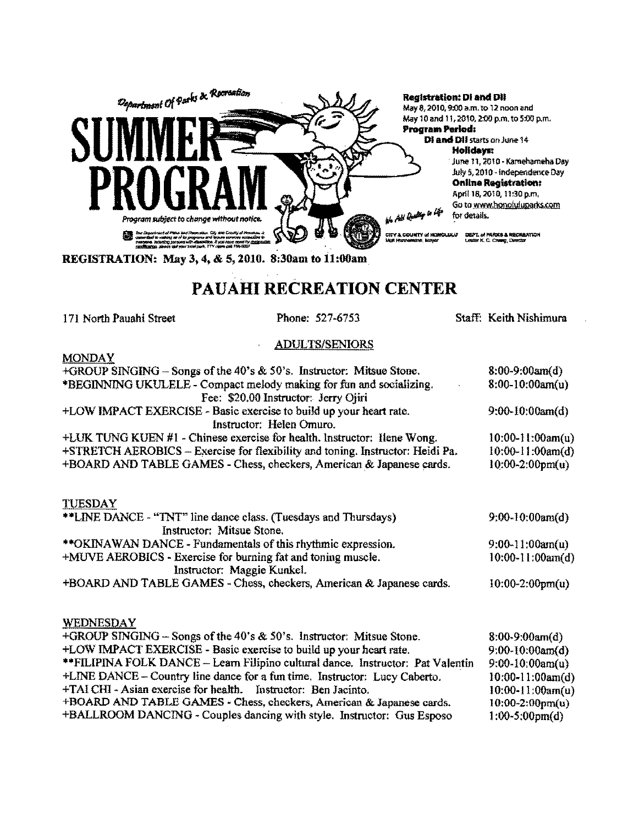

## PAUAHI RECREATION CENTER

171 North Pauahi Street

Phone: 527-6753

Staff: Keith Nishimura

## **ADULTS/SENIORS**

**MONDAY** 

| $+$ GROUP SINGING – Songs of the 40's & 50's. Instructor: Mitsue Stone.                      | $8:00-9:00am(d)$          |
|----------------------------------------------------------------------------------------------|---------------------------|
| *BEGINNING UKULELE - Compact melody making for fun and socializing.                          | $8:00-10:00am(u)$         |
| Fee: \$20.00 Instructor: Jerry Ojiri                                                         |                           |
| +LOW IMPACT EXERCISE - Basic exercise to build up your heart rate.                           | $9:00-10:00am(d)$         |
| Instructor: Helen Omuro.                                                                     |                           |
| +LUK TUNG KUEN #1 - Chinese exercise for health. Instructor: Ilene Wong.                     | $10:00-11:00am(u)$        |
| +STRETCH AEROBICS - Exercise for flexibility and toning. Instructor: Heidi Pa.               | $10:00-11:00am(d)$        |
| +BOARD AND TABLE GAMES - Chess, checkers, American & Japanese cards.                         | $10:00-2:00 \text{pm}(u)$ |
| <b>TUESDAY</b>                                                                               |                           |
| **LINE DANCE - "TNT" line dance class. (Tuesdays and Thursdays)<br>Instructor: Mitsue Stone. | $9:00-10:00am(d)$         |
| **OKINAWAN DANCE - Fundamentals of this rhythmic expression.                                 | $9:00-11:00am(u)$         |
| +MUVE AEROBICS - Exercise for burning fat and toning muscle.<br>Instructor: Maggie Kunkel.   | $10:00-11:00am(d)$        |
| +BOARD AND TABLE GAMES - Chess, checkers, American & Japanese cards.                         | $10:00-2:00pm(u)$         |
| <b>WEDNESDAY</b>                                                                             |                           |
| +GROUP SINGING $-$ Songs of the 40's $\&$ 50's. Instructor: Mitsue Stone.                    | $8:00-9:00am(d)$          |
| +LOW IMPACT EXERCISE - Basic exercise to build up your heart rate.                           | $9:00-10:00am(d)$         |
| **FILIPINA FOLK DANCE – Learn Filipino cultural dance. Instructor: Pat Valentin              | $9:00-10:00$ am(u)        |
| +LINE DANCE - Country line dance for a fun time. Instructor: Lucy Caberto.                   | $10:00-11:00am(d)$        |
| +TAI CHI - Asian exercise for health. Instructor: Ben Jacinto.                               | 10:00-11:00am(u)          |
| +BOARD AND TABLE GAMES - Chess, checkers, American & Japanese cards.                         | $10:00-2:00pm(u)$         |
| +BALLROOM DANCING - Couples dancing with style. Instructor: Gus Esposo                       | $1:00-5:00 \text{pm}(d)$  |